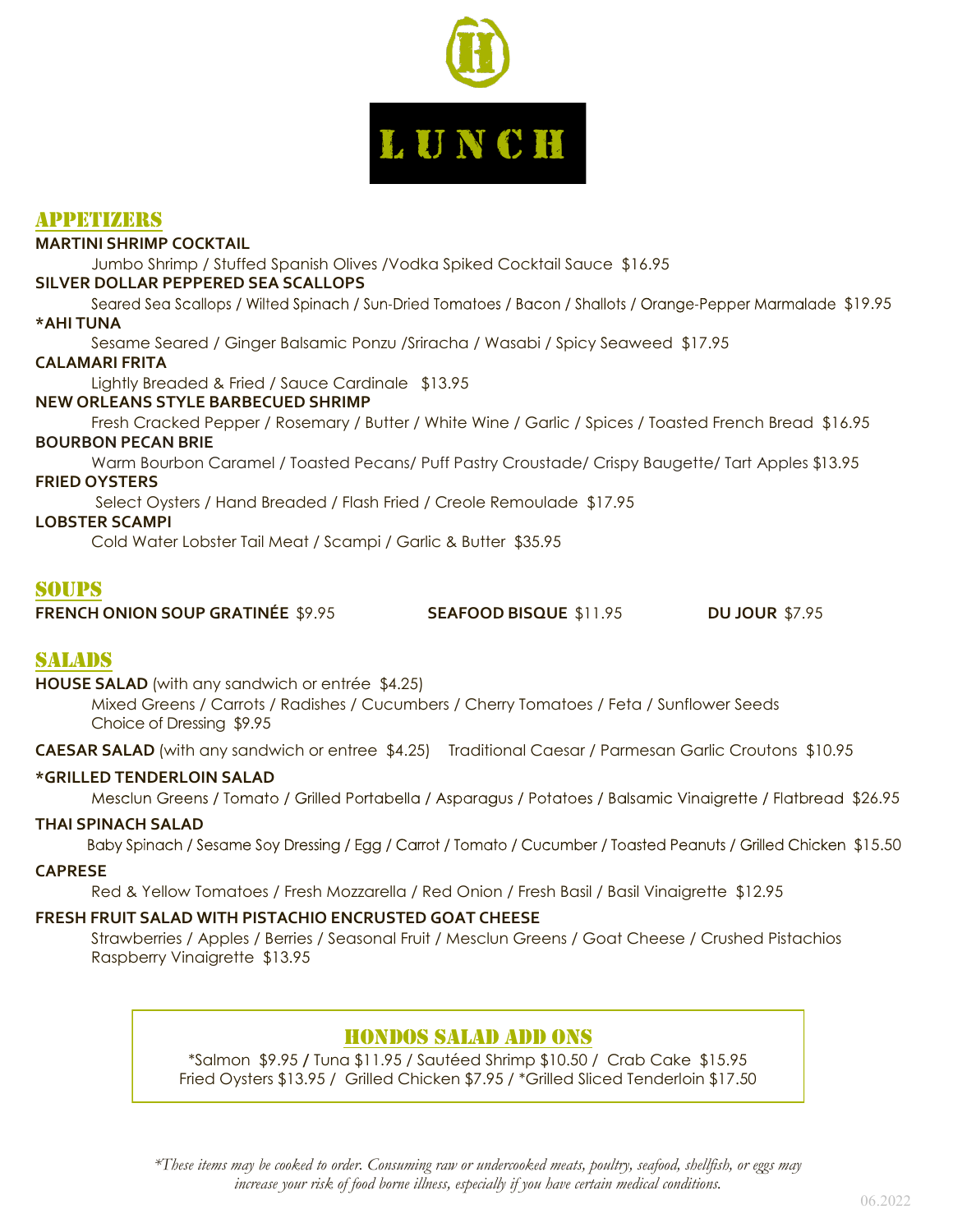

## Appetizers

## **MARTINI SHRIMP COCKTAIL**

Jumbo Shrimp / Stuffed Spanish Olives /Vodka Spiked Cocktail Sauce \$16.95

#### **SILVER DOLLAR PEPPERED SEA SCALLOPS**

Seared Sea Scallops / Wilted Spinach / Sun-Dried Tomatoes / Bacon / Shallots / Orange-Pepper Marmalade \$19.95 **\*AHI TUNA**

Sesame Seared / Ginger Balsamic Ponzu /Sriracha / Wasabi / Spicy Seaweed \$17.95

#### **CALAMARI FRITA**

Lightly Breaded & Fried / Sauce Cardinale \$13.95

#### **NEW ORLEANS STYLE BARBECUED SHRIMP**

Fresh Cracked Pepper / Rosemary / Butter / White Wine / Garlic / Spices / Toasted French Bread \$16.95 **BOURBON PECAN BRIE**

Warm Bourbon Caramel / Toasted Pecans/ Puff Pastry Croustade/ Crispy Baugette/ Tart Apples \$13.95 **FRIED OYSTERS** 

Select Oysters / Hand Breaded / Flash Fried / Creole Remoulade \$17.95

#### **LOBSTER SCAMPI**

Cold Water Lobster Tail Meat / Scampi / Garlic & Butter \$35.95

## soups

|  | <b>FRENCH ONION SOUP GRATINÉE \$9.95</b> | <b>SEAFOOD BISQUE \$11.95</b> | <b>DU JOUR \$7.95</b> |
|--|------------------------------------------|-------------------------------|-----------------------|
|--|------------------------------------------|-------------------------------|-----------------------|

## Salads

**HOUSE SALAD** (with any sandwich or entrée \$4.25)

Mixed Greens / Carrots / Radishes / Cucumbers / Cherry Tomatoes / Feta / Sunflower Seeds Choice of Dressing \$9.95

**CAESAR SALAD** (with any sandwich or entree \$4.25)Traditional Caesar / Parmesan Garlic Croutons \$10.95

#### **\*GRILLED TENDERLOIN SALAD**

Mesclun Greens / Tomato / Grilled Portabella / Asparagus / Potatoes / Balsamic Vinaigrette / Flatbread \$26.95

#### **THAI SPINACH SALAD**

Baby Spinach / Sesame Soy Dressing / Egg / Carrot / Tomato / Cucumber / Toasted Peanuts / Grilled Chicken \$15.50

## **CAPRESE**

Red & Yellow Tomatoes / Fresh Mozzarella / Red Onion / Fresh Basil / Basil Vinaigrette \$12.95

## **FRESH FRUIT SALAD WITH PISTACHIO ENCRUSTED GOAT CHEESE**

Strawberries / Apples / Berries / Seasonal Fruit / Mesclun Greens / Goat Cheese / Crushed Pistachios Raspberry Vinaigrette \$13.95

# HONDOS SALAD ADD ONS

\*Salmon \$9.95 **/** Tuna \$11.95 / Sautéed Shrimp \$10.50 / Crab Cake \$15.95 Fried Oysters \$13.95 / Grilled Chicken \$7.95 / \*Grilled Sliced Tenderloin \$17.50